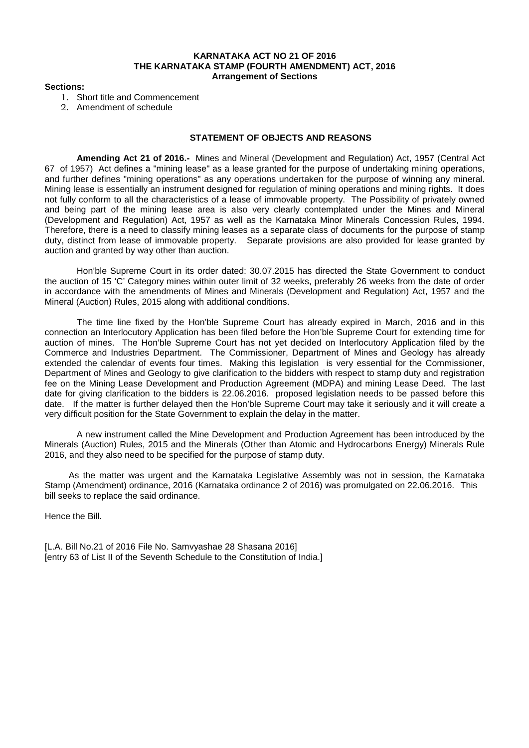### **KARNATAKA ACT NO 21 OF 2016 THE KARNATAKA STAMP (FOURTH AMENDMENT) ACT, 2016 Arrangement of Sections**

#### **Sections:**

- 1. Short title and Commencement
- 2. Amendment of schedule

# **STATEMENT OF OBJECTS AND REASONS**

**Amending Act 21 of 2016.-** Mines and Mineral (Development and Regulation) Act, 1957 (Central Act 67 of 1957) Act defines a "mining lease" as a lease granted for the purpose of undertaking mining operations, and further defines "mining operations" as any operations undertaken for the purpose of winning any mineral. Mining lease is essentially an instrument designed for regulation of mining operations and mining rights. It does not fully conform to all the characteristics of a lease of immovable property. The Possibility of privately owned and being part of the mining lease area is also very clearly contemplated under the Mines and Mineral (Development and Regulation) Act, 1957 as well as the Karnataka Minor Minerals Concession Rules, 1994. Therefore, there is a need to classify mining leases as a separate class of documents for the purpose of stamp duty, distinct from lease of immovable property. Separate provisions are also provided for lease granted by auction and granted by way other than auction.

Hon'ble Supreme Court in its order dated: 30.07.2015 has directed the State Government to conduct the auction of 15 'C' Category mines within outer limit of 32 weeks, preferably 26 weeks from the date of order in accordance with the amendments of Mines and Minerals (Development and Regulation) Act, 1957 and the Mineral (Auction) Rules, 2015 along with additional conditions.

The time line fixed by the Hon'ble Supreme Court has already expired in March, 2016 and in this connection an Interlocutory Application has been filed before the Hon'ble Supreme Court for extending time for auction of mines. The Hon'ble Supreme Court has not yet decided on Interlocutory Application filed by the Commerce and Industries Department. The Commissioner, Department of Mines and Geology has already extended the calendar of events four times. Making this legislation is very essential for the Commissioner, Department of Mines and Geology to give clarification to the bidders with respect to stamp duty and registration fee on the Mining Lease Development and Production Agreement (MDPA) and mining Lease Deed. The last date for giving clarification to the bidders is 22.06.2016. proposed legislation needs to be passed before this date. If the matter is further delayed then the Hon'ble Supreme Court may take it seriously and it will create a very difficult position for the State Government to explain the delay in the matter.

A new instrument called the Mine Development and Production Agreement has been introduced by the Minerals (Auction) Rules, 2015 and the Minerals (Other than Atomic and Hydrocarbons Energy) Minerals Rule 2016, and they also need to be specified for the purpose of stamp duty.

As the matter was urgent and the Karnataka Legislative Assembly was not in session, the Karnataka Stamp (Amendment) ordinance, 2016 (Karnataka ordinance 2 of 2016) was promulgated on 22.06.2016. This bill seeks to replace the said ordinance.

Hence the Bill.

[L.A. Bill No.21 of 2016 File No. Samvyashae 28 Shasana 2016] [entry 63 of List II of the Seventh Schedule to the Constitution of India.]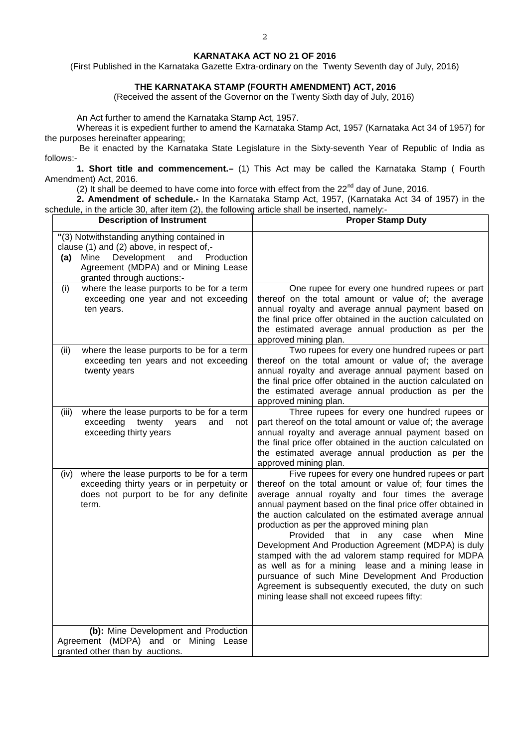### **KARNATAKA ACT NO 21 OF 2016**

(First Published in the Karnataka Gazette Extra-ordinary on the Twenty Seventh day of July, 2016)

# **THE KARNATAKA STAMP (FOURTH AMENDMENT) ACT, 2016**

(Received the assent of the Governor on the Twenty Sixth day of July, 2016)

An Act further to amend the Karnataka Stamp Act, 1957.

Whereas it is expedient further to amend the Karnataka Stamp Act, 1957 (Karnataka Act 34 of 1957) for the purposes hereinafter appearing;

Be it enacted by the Karnataka State Legislature in the Sixty-seventh Year of Republic of India as follows:-

**1. Short title and commencement.–** (1) This Act may be called the Karnataka Stamp ( Fourth Amendment) Act, 2016.

(2) It shall be deemed to have come into force with effect from the  $22<sup>nd</sup>$  day of June, 2016.

**2. Amendment of schedule.-** In the Karnataka Stamp Act, 1957, (Karnataka Act 34 of 1957) in the schedule, in the article 30, after item (2), the following article shall be inserted, namely:-

| <b>Description of Instrument</b>                                                                                                                                                                                 | <b>Proper Stamp Duty</b>                                                                                                                                                                                                                                                                                                                                                                                                                                                                                                                                                                                                                                                                                               |
|------------------------------------------------------------------------------------------------------------------------------------------------------------------------------------------------------------------|------------------------------------------------------------------------------------------------------------------------------------------------------------------------------------------------------------------------------------------------------------------------------------------------------------------------------------------------------------------------------------------------------------------------------------------------------------------------------------------------------------------------------------------------------------------------------------------------------------------------------------------------------------------------------------------------------------------------|
| "(3) Notwithstanding anything contained in<br>clause (1) and (2) above, in respect of,-<br>Mine<br>Development<br>and<br>Production<br>(a)<br>Agreement (MDPA) and or Mining Lease<br>granted through auctions:- |                                                                                                                                                                                                                                                                                                                                                                                                                                                                                                                                                                                                                                                                                                                        |
| where the lease purports to be for a term<br>(i)<br>exceeding one year and not exceeding<br>ten years.                                                                                                           | One rupee for every one hundred rupees or part<br>thereof on the total amount or value of; the average<br>annual royalty and average annual payment based on<br>the final price offer obtained in the auction calculated on<br>the estimated average annual production as per the<br>approved mining plan.                                                                                                                                                                                                                                                                                                                                                                                                             |
| where the lease purports to be for a term<br>(ii)<br>exceeding ten years and not exceeding<br>twenty years                                                                                                       | Two rupees for every one hundred rupees or part<br>thereof on the total amount or value of; the average<br>annual royalty and average annual payment based on<br>the final price offer obtained in the auction calculated on<br>the estimated average annual production as per the<br>approved mining plan.                                                                                                                                                                                                                                                                                                                                                                                                            |
| (iii)<br>where the lease purports to be for a term<br>exceeding<br>twenty<br>years<br>and<br>not<br>exceeding thirty years                                                                                       | Three rupees for every one hundred rupees or<br>part thereof on the total amount or value of; the average<br>annual royalty and average annual payment based on<br>the final price offer obtained in the auction calculated on<br>the estimated average annual production as per the<br>approved mining plan.                                                                                                                                                                                                                                                                                                                                                                                                          |
| where the lease purports to be for a term<br>(iv)<br>exceeding thirty years or in perpetuity or<br>does not purport to be for any definite<br>term.                                                              | Five rupees for every one hundred rupees or part<br>thereof on the total amount or value of; four times the<br>average annual royalty and four times the average<br>annual payment based on the final price offer obtained in<br>the auction calculated on the estimated average annual<br>production as per the approved mining plan<br>Provided<br>that in<br>any case when<br>Mine<br>Development And Production Agreement (MDPA) is duly<br>stamped with the ad valorem stamp required for MDPA<br>as well as for a mining lease and a mining lease in<br>pursuance of such Mine Development And Production<br>Agreement is subsequently executed, the duty on such<br>mining lease shall not exceed rupees fifty: |
| (b): Mine Development and Production<br>Agreement (MDPA) and or Mining Lease<br>granted other than by auctions.                                                                                                  |                                                                                                                                                                                                                                                                                                                                                                                                                                                                                                                                                                                                                                                                                                                        |